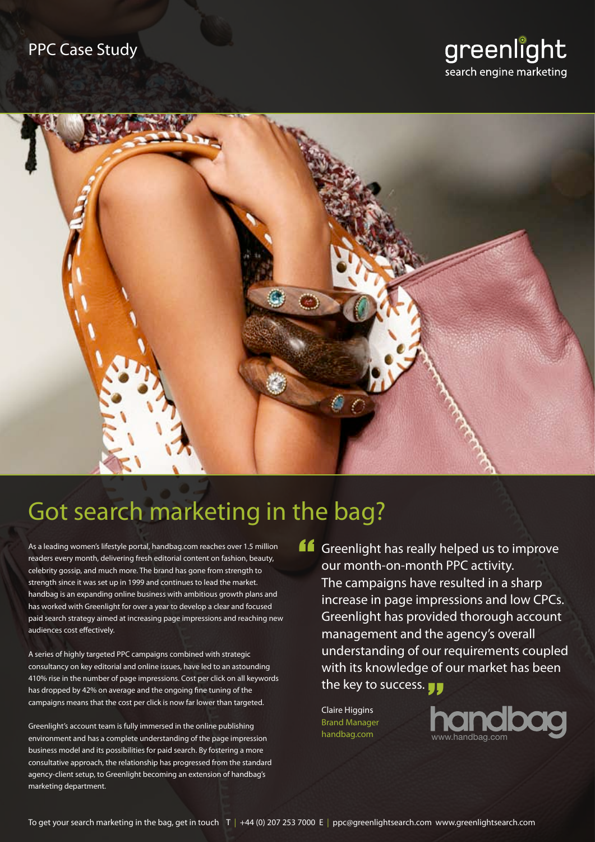



# Got search marketing in the bag?

As a leading women's lifestyle portal, handbag.com reaches over 1.5 million readers every month, delivering fresh editorial content on fashion, beauty, celebrity gossip, and much more. The brand has gone from strength to strength since it was set up in 1999 and continues to lead the market. handbag is an expanding online business with ambitious growth plans and has worked with Greenlight for over a year to develop a clear and focused paid search strategy aimed at increasing page impressions and reaching new audiences cost effectively.

A series of highly targeted PPC campaigns combined with strategic consultancy on key editorial and online issues, have led to an astounding 410% rise in the number of page impressions. Cost per click on all keywords has dropped by 42% on average and the ongoing fine tuning of the campaigns means that the cost per click is now far lower than targeted.

Greenlight's account team is fully immersed in the online publishing environment and has a complete understanding of the page impression business model and its possibilities for paid search. By fostering a more consultative approach, the relationship has progressed from the standard agency-client setup, to Greenlight becoming an extension of handbag's marketing department.

**Greenlight has really helped us to improve**<br>
our month-on-month PPC activity.<br>
The campaigns have resulted in a sharp our month-on-month PPC activity. The campaigns have resulted in a sharp increase in page impressions and low CPCs. Greenlight has provided thorough account management and the agency's overall understanding of our requirements coupled with its knowledge of our market has been<br>the key to success. the key to success.

Claire Higgins Brand Manager handbag.com